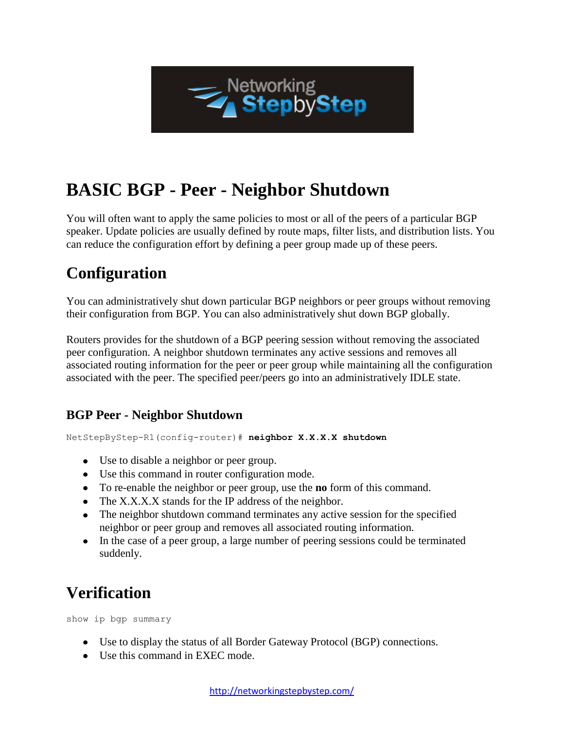

# **BASIC BGP - Peer - Neighbor Shutdown**

You will often want to apply the same policies to most or all of the peers of a particular BGP speaker. Update policies are usually defined by route maps, filter lists, and distribution lists. You can reduce the configuration effort by defining a peer group made up of these peers.

# **Configuration**

You can administratively shut down particular BGP neighbors or peer groups without removing their configuration from BGP. You can also administratively shut down BGP globally.

Routers provides for the shutdown of a BGP peering session without removing the associated peer configuration. A neighbor shutdown terminates any active sessions and removes all associated routing information for the peer or peer group while maintaining all the configuration associated with the peer. The specified peer/peers go into an administratively IDLE state.

#### **BGP Peer - Neighbor Shutdown**

NetStepByStep-R1(config-router)# **neighbor X.X.X.X shutdown**

- Use to disable a neighbor or peer group.
- Use this command in router configuration mode.
- To re-enable the neighbor or peer group, use the **no** form of this command.
- The X.X.X.X stands for the IP address of the neighbor.
- The neighbor shutdown command terminates any active session for the specified neighbor or peer group and removes all associated routing information.
- In the case of a peer group, a large number of peering sessions could be terminated suddenly.

## **Verification**

show ip bgp summary

- Use to display the status of all Border Gateway Protocol (BGP) connections.
- Use this command in EXEC mode.